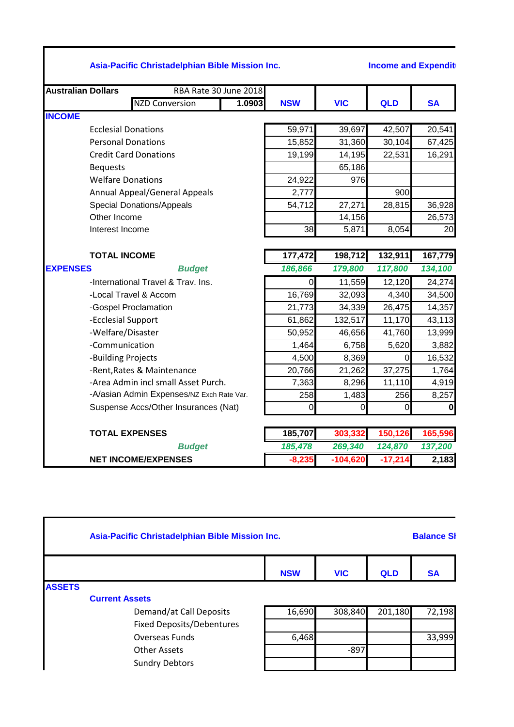## **Asia-Pacific Christadelphian Bible Mission Inc. Income and Expenditure for 12 months to 30 June 2018 - Australian Dome 2018**

| <b>Australian Dollars</b> | RBA Rate 30 June 2018                     |        |             |            |           |             |
|---------------------------|-------------------------------------------|--------|-------------|------------|-----------|-------------|
|                           | <b>NZD Conversion</b>                     | 1.0903 | <b>NSW</b>  | <b>VIC</b> | QLD       | <b>SA</b>   |
| <b>INCOME</b>             |                                           |        |             |            |           |             |
|                           | <b>Ecclesial Donations</b>                |        | 59,971      | 39,697     | 42,507    | 20,541      |
|                           | <b>Personal Donations</b>                 |        | 15,852      | 31,360     | 30,104    | 67,425      |
|                           | <b>Credit Card Donations</b>              |        | 19,199      | 14,195     | 22,531    | 16,291      |
| <b>Bequests</b>           |                                           |        |             | 65,186     |           |             |
|                           | <b>Welfare Donations</b>                  |        | 24,922      | 976        |           |             |
|                           | <b>Annual Appeal/General Appeals</b>      |        | 2,777       |            | 900       |             |
|                           | <b>Special Donations/Appeals</b>          |        | 54,712      | 27,271     | 28,815    | 36,928      |
| Other Income              |                                           |        |             | 14,156     |           | 26,573      |
| Interest Income           |                                           |        | 38          | 5,871      | 8,054     | 20          |
|                           |                                           |        |             |            |           |             |
| <b>TOTAL INCOME</b>       |                                           |        | 177,472     | 198,712    | 132,911   | 167,779     |
| <b>EXPENSES</b>           | <b>Budget</b>                             |        | 186,866     | 179,800    | 117,800   | 134,100     |
|                           | -International Travel & Trav. Ins.        |        | 0           | 11,559     | 12,120    | 24,274      |
|                           | -Local Travel & Accom                     |        | 16,769      | 32,093     | 4,340     | 34,500      |
|                           | -Gospel Proclamation                      |        | 21,773      | 34,339     | 26,475    | 14,357      |
| -Ecclesial Support        |                                           |        | 61,862      | 132,517    | 11,170    | 43,113      |
| -Welfare/Disaster         |                                           |        | 50,952      | 46,656     | 41,760    | 13,999      |
| -Communication            |                                           |        | 1,464       | 6,758      | 5,620     | 3,882       |
| -Building Projects        |                                           |        | 4,500       | 8,369      | $\Omega$  | 16,532      |
|                           | -Rent, Rates & Maintenance                |        | 20,766      | 21,262     | 37,275    | 1,764       |
|                           | -Area Admin incl small Asset Purch.       |        | 7,363       | 8,296      | 11,110    | 4,919       |
|                           | -A/asian Admin Expenses/NZ Exch Rate Var. |        | 258         | 1,483      | 256       | 8,257       |
|                           | Suspense Accs/Other Insurances (Nat)      |        | $\mathbf 0$ | 0          | $\Omega$  | $\mathbf 0$ |
|                           | <b>TOTAL EXPENSES</b>                     |        | 185,707     | 303,332    | 150,126   | 165,596     |
|                           | <b>Budget</b>                             |        | 185,478     | 269,340    | 124,870   | 137,200     |
|                           | <b>NET INCOME/EXPENSES</b>                |        | $-8,235$    | $-104,620$ | $-17,214$ | 2,183       |

|               | Asia-Pacific Christadelphian Bible Mission Inc. |            |            |            |           |
|---------------|-------------------------------------------------|------------|------------|------------|-----------|
|               |                                                 | <b>NSW</b> | <b>VIC</b> | <b>QLD</b> | <b>SA</b> |
| <b>ASSETS</b> |                                                 |            |            |            |           |
|               | <b>Current Assets</b>                           |            |            |            |           |
|               | Demand/at Call Deposits                         | 16,690     | 308,840    | 201,180    | 72,198    |
|               | <b>Fixed Deposits/Debentures</b>                |            |            |            |           |
|               | <b>Overseas Funds</b>                           | 6,468      |            |            | 33,999    |
|               | <b>Other Assets</b>                             |            | $-897$     |            |           |
|               | <b>Sundry Debtors</b>                           |            |            |            |           |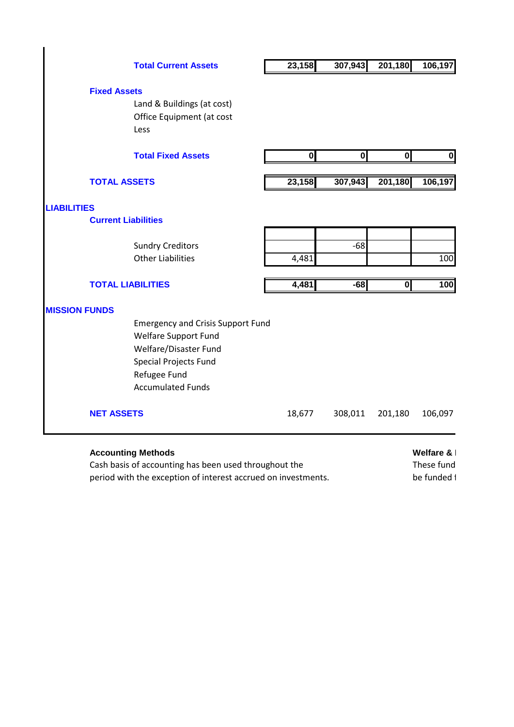|                      | <b>Total Current Assets</b>              | 23,158                  | 307,943                 | 201,180                 | 106,197      |  |  |
|----------------------|------------------------------------------|-------------------------|-------------------------|-------------------------|--------------|--|--|
| <b>Fixed Assets</b>  |                                          |                         |                         |                         |              |  |  |
|                      | Land & Buildings (at cost)               |                         |                         |                         |              |  |  |
|                      | Office Equipment (at cost                |                         |                         |                         |              |  |  |
|                      | Less                                     |                         |                         |                         |              |  |  |
|                      | <b>Total Fixed Assets</b>                | $\overline{\mathbf{0}}$ | $\overline{\mathbf{0}}$ | $\overline{\mathbf{0}}$ | $\mathbf{0}$ |  |  |
| <b>TOTAL ASSETS</b>  |                                          | 23,158                  | 307,943                 | 201,180                 | 106,197      |  |  |
| <b>LIABILITIES</b>   |                                          |                         |                         |                         |              |  |  |
|                      | <b>Current Liabilities</b>               |                         |                         |                         |              |  |  |
|                      | <b>Sundry Creditors</b>                  |                         | $-68$                   |                         |              |  |  |
|                      | <b>Other Liabilities</b>                 | 4,481                   |                         |                         | 100          |  |  |
|                      |                                          |                         |                         |                         |              |  |  |
|                      | <b>TOTAL LIABILITIES</b>                 | 4,481                   | $-68$                   | $\overline{\mathbf{0}}$ | 100          |  |  |
| <b>MISSION FUNDS</b> |                                          |                         |                         |                         |              |  |  |
|                      | <b>Emergency and Crisis Support Fund</b> |                         |                         |                         |              |  |  |
|                      | Welfare Support Fund                     |                         |                         |                         |              |  |  |
|                      | Welfare/Disaster Fund                    |                         |                         |                         |              |  |  |
|                      | <b>Special Projects Fund</b>             |                         |                         |                         |              |  |  |
|                      | Refugee Fund                             |                         |                         |                         |              |  |  |
|                      | <b>Accumulated Funds</b>                 |                         |                         |                         |              |  |  |
| <b>NET ASSETS</b>    |                                          | 18,677                  | 308,011                 | 201,180                 | 106,097      |  |  |
|                      |                                          |                         |                         |                         |              |  |  |
|                      | <b>Accounting Methods</b>                |                         | Welfare &               |                         |              |  |  |

Cash basis of accounting has been used throughout the These funds have been set as ideal of cover cover cover cover cover cover cover cover cover cover cover cover cover cover cannot cannot cannot cannot cannot cannot cann period with the exception of interest accrued on investments. be funded in the funded i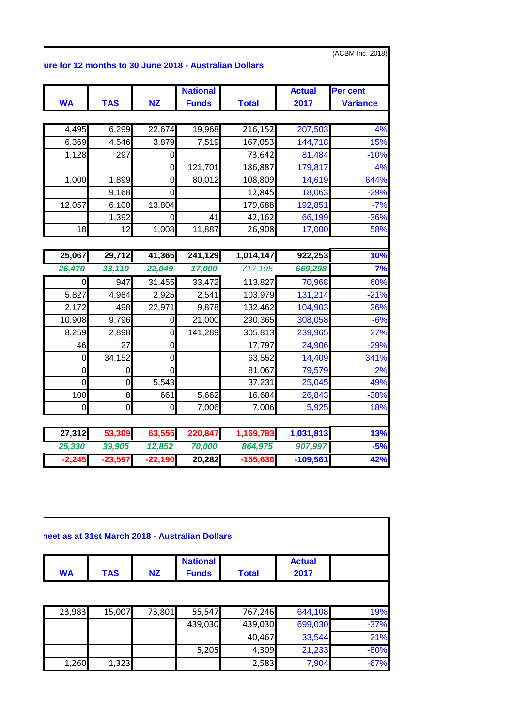|             |                |                  | ure for 12 months to 30 June 2018 - Australian Dollars |                   |                  | (ACBM Inc. 2018) |
|-------------|----------------|------------------|--------------------------------------------------------|-------------------|------------------|------------------|
|             |                |                  | <b>National</b>                                        |                   | <b>Actual</b>    | Per cent         |
| <b>WA</b>   | <b>TAS</b>     | <b>NZ</b>        | <b>Funds</b>                                           | <b>Total</b>      | 2017             | <b>Variance</b>  |
|             |                |                  |                                                        |                   |                  |                  |
| 4,495       | 6,299          | 22,674           | 19,968                                                 | 216,152           | 207,503          | 4%<br>15%        |
| 6,369       | 4,546<br>297   | 3,879            | 7,519                                                  | 167,053           | 144,718          |                  |
| 1,128       |                | 0<br>$\mathbf 0$ |                                                        | 73,642            | 81,484           | $-10%$<br>4%     |
|             |                |                  | 121,701                                                | 186,887           | 179,817          | 644%             |
| 1,000       | 1,899<br>9,168 | 0<br>$\mathbf 0$ | 80,012                                                 | 108,809<br>12,845 | 14,619<br>18,063 | $-29%$           |
| 12,057      | 6,100          | 13,804           |                                                        | 179,688           | 192,851          | $-7%$            |
|             | 1,392          | $\Omega$         | 41                                                     | 42,162            | 66,199           | $-36%$           |
| 18          | 12             | 1,008            | 11,887                                                 | 26,908            | 17,000           | 58%              |
|             |                |                  |                                                        |                   |                  |                  |
| 25,067      | 29,712         | 41,365           | 241,129                                                | 1,014,147         | 922,253          | 10%              |
| 26,470      | 33,110         | 22,049           | 17,000                                                 | 717,195           | 669,298          | 7%               |
| 0           | 947            | 31,455           | 33,472                                                 | 113,827           | 70,968           | 60%              |
| 5,827       | 4,984          | 2,925            | 2,541                                                  | 103,979           | 131,214          | $-21%$           |
| 2,172       | 498            | 22,971           | 9,878                                                  | 132,462           | 104,903          | 26%              |
| 10,908      | 9,796          | 0                | 21,000                                                 | 290,365           | 308,058          | $-6%$            |
| 8,259       | 2,898          | 0                | 141,289                                                | 305,813           | 239,965          | 27%              |
| 46          | 27             | $\mathbf 0$      |                                                        | 17,797            | 24,906           | $-29%$           |
| $\mathbf 0$ | 34,152         | $\mathbf 0$      |                                                        | 63,552            | 14,409           | 341%             |
| 0           | 0              | $\overline{0}$   |                                                        | 81,067            | 79,579           | 2%               |
| $\mathbf 0$ | $\mathbf 0$    | 5,543            |                                                        | 37,231            | 25,045           | 49%              |
| 100         | $\,8\,$        | 661              | 5,662                                                  | 16,684            | 26,843           | $-38%$           |
| $\mathbf 0$ | $\mathbf 0$    | $\mathbf 0$      | 7,006                                                  | 7,006             | 5,925            | 18%              |
|             |                |                  |                                                        |                   |                  |                  |
| 27,312      | 53,309         | 63,555           | 220,847                                                | 1,169,783         | 1,031,813        | 13%              |
| 25,330      | 39,905         | 12,852           | 70,000                                                 | 864,975           | 907,997          | $-5%$            |
| $-2,245$    | $-23,597$      | $-22,190$        | 20,282                                                 | $-155,636$        | $-109,561$       | 42%              |

|            |           | <b>National</b> |                  | <b>Actual</b> |
|------------|-----------|-----------------|------------------|---------------|
| <b>TAS</b> | <b>NZ</b> | <b>Funds</b>    | <b>Total</b>     | 2017          |
|            |           |                 |                  | 644,108       |
|            |           | 439,030         | 439,030          | 699,030       |
|            |           |                 | 40,467           | 33,544        |
|            |           | 5,205           | 4,309            | 21,233        |
|            |           |                 |                  |               |
|            | 15,007    |                 | 55,547<br>73,801 | 767,246       |